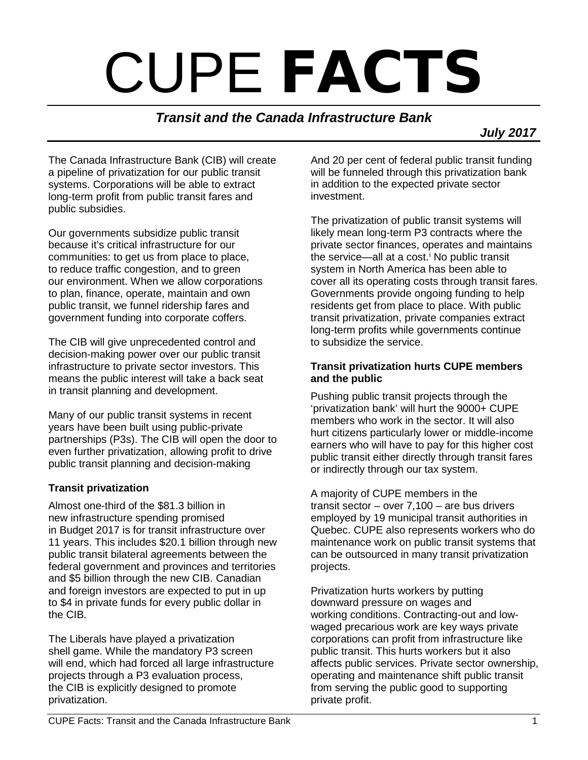# CUPE **FACTS**

## *Transit and the Canada Infrastructure Bank*

 *July 2017*

The Canada Infrastructure Bank (CIB) will create a pipeline of privatization for our public transit systems. Corporations will be able to extract long-term profit from public transit fares and public subsidies.

Our governments subsidize public transit because it's critical infrastructure for our communities: to get us from place to place, to reduce traffic congestion, and to green our environment. When we allow corporations to plan, finance, operate, maintain and own public transit, we funnel ridership fares and government funding into corporate coffers.

The CIB will give unprecedented control and decision-making power over our public transit infrastructure to private sector investors. This means the public interest will take a back seat in transit planning and development.

Many of our public transit systems in recent years have been built using public-private partnerships (P3s). The CIB will open the door to even further privatization, allowing profit to drive public transit planning and decision-making

#### **Transit privatization**

Almost one-third of the \$81.3 billion in new infrastructure spending promised in Budget 2017 is for transit infrastructure over 11 years. This includes \$20.1 billion through new public transit bilateral agreements between the federal government and provinces and territories and \$5 billion through the new CIB. Canadian and foreign investors are expected to put in up to \$4 in private funds for every public dollar in the CIB.

The Liberals have played a privatization shell game. While the mandatory P3 screen will end, which had forced all large infrastructure projects through a P3 evaluation process, the CIB is explicitly designed to promote privatization.

And 20 per cent of federal public transit funding will be funneled through this privatization bank in addition to the expected private sector investment.

The privatization of public transit systems will likely mean long-term P3 contracts where the private sector finances, operates and maintains the serv[i](#page-1-0)ce—all at a cost.<sup> $i$ </sup> No public transit system in North America has been able to cover all its operating costs through transit fares. Governments provide ongoing funding to help residents get from place to place. With public transit privatization, private companies extract long-term profits while governments continue to subsidize the service.

#### **Transit privatization hurts CUPE members and the public**

Pushing public transit projects through the 'privatization bank' will hurt the 9000+ CUPE members who work in the sector. It will also hurt citizens particularly lower or middle-income earners who will have to pay for this higher cost public transit either directly through transit fares or indirectly through our tax system.

A majority of CUPE members in the transit sector – over 7,100 – are bus drivers employed by 19 municipal transit authorities in Quebec. CUPE also represents workers who do maintenance work on public transit systems that can be outsourced in many transit privatization projects.

Privatization hurts workers by putting downward pressure on wages and working conditions. Contracting-out and lowwaged precarious work are key ways private corporations can profit from infrastructure like public transit. This hurts workers but it also affects public services. Private sector ownership, operating and maintenance shift public transit from serving the public good to supporting private profit.